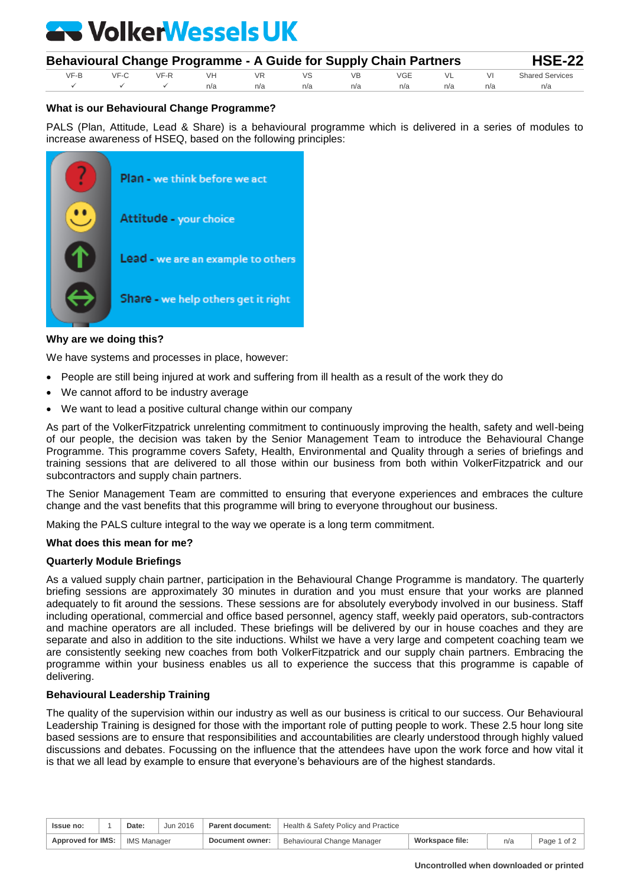# **Sex VolkerWessels UK**

| <b>Behavioural Change Programme - A Guide for Supply Chain Partners</b> |  |                           |     |     |     |     |     |      |     | <b>HSE-22</b>          |  |
|-------------------------------------------------------------------------|--|---------------------------|-----|-----|-----|-----|-----|------|-----|------------------------|--|
| VF-B                                                                    |  | VF-C VF-R                 | VH  | VR. | VS. | VB. | VGE | VL - | V1  | <b>Shared Services</b> |  |
|                                                                         |  | $\checkmark$ $\checkmark$ | n/a | n/a | n/a | n/a | n/a | n/a  | n/a | n/a                    |  |

# **What is our Behavioural Change Programme?**

PALS (Plan, Attitude, Lead & Share) is a behavioural programme which is delivered in a series of modules to increase awareness of HSEQ, based on the following principles:



## **Why are we doing this?**

We have systems and processes in place, however:

- People are still being injured at work and suffering from ill health as a result of the work they do
- We cannot afford to be industry average
- We want to lead a positive cultural change within our company

As part of the VolkerFitzpatrick unrelenting commitment to continuously improving the health, safety and well-being of our people, the decision was taken by the Senior Management Team to introduce the Behavioural Change Programme. This programme covers Safety, Health, Environmental and Quality through a series of briefings and training sessions that are delivered to all those within our business from both within VolkerFitzpatrick and our subcontractors and supply chain partners.

The Senior Management Team are committed to ensuring that everyone experiences and embraces the culture change and the vast benefits that this programme will bring to everyone throughout our business.

Making the PALS culture integral to the way we operate is a long term commitment.

### **What does this mean for me?**

### **Quarterly Module Briefings**

As a valued supply chain partner, participation in the Behavioural Change Programme is mandatory. The quarterly briefing sessions are approximately 30 minutes in duration and you must ensure that your works are planned adequately to fit around the sessions. These sessions are for absolutely everybody involved in our business. Staff including operational, commercial and office based personnel, agency staff, weekly paid operators, sub-contractors and machine operators are all included. These briefings will be delivered by our in house coaches and they are separate and also in addition to the site inductions. Whilst we have a very large and competent coaching team we are consistently seeking new coaches from both VolkerFitzpatrick and our supply chain partners. Embracing the programme within your business enables us all to experience the success that this programme is capable of delivering.

### **Behavioural Leadership Training**

The quality of the supervision within our industry as well as our business is critical to our success. Our Behavioural Leadership Training is designed for those with the important role of putting people to work. These 2.5 hour long site based sessions are to ensure that responsibilities and accountabilities are clearly understood through highly valued discussions and debates. Focussing on the influence that the attendees have upon the work force and how vital it is that we all lead by example to ensure that everyone's behaviours are of the highest standards.

| Issue no:         |  | Date:              | Jun 2016 | <b>Parent document:</b> | Health & Safety Policy and Practice |                 |     |                |
|-------------------|--|--------------------|----------|-------------------------|-------------------------------------|-----------------|-----|----------------|
| Approved for IMS: |  | <b>IMS Manager</b> |          | Document owner:         | Behavioural Change Manager          | Workspace file: | n/a | Page<br>1 of ∠ |